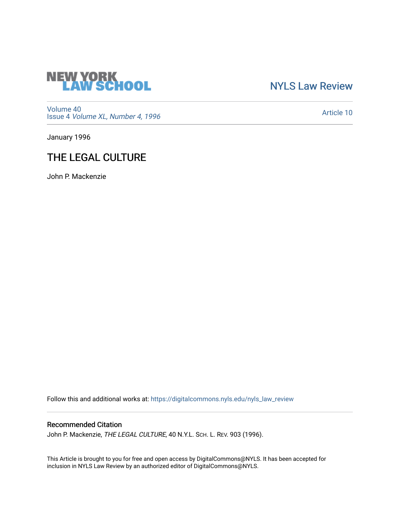

## [NYLS Law Review](https://digitalcommons.nyls.edu/nyls_law_review)

[Volume 40](https://digitalcommons.nyls.edu/nyls_law_review/vol40) Issue 4 [Volume XL, Number 4, 1996](https://digitalcommons.nyls.edu/nyls_law_review/vol40/iss4)

[Article 10](https://digitalcommons.nyls.edu/nyls_law_review/vol40/iss4/10) 

January 1996

# THE LEGAL CULTURE

John P. Mackenzie

Follow this and additional works at: [https://digitalcommons.nyls.edu/nyls\\_law\\_review](https://digitalcommons.nyls.edu/nyls_law_review?utm_source=digitalcommons.nyls.edu%2Fnyls_law_review%2Fvol40%2Fiss4%2F10&utm_medium=PDF&utm_campaign=PDFCoverPages) 

## Recommended Citation

John P. Mackenzie, THE LEGAL CULTURE, 40 N.Y.L. SCH. L. REV. 903 (1996).

This Article is brought to you for free and open access by DigitalCommons@NYLS. It has been accepted for inclusion in NYLS Law Review by an authorized editor of DigitalCommons@NYLS.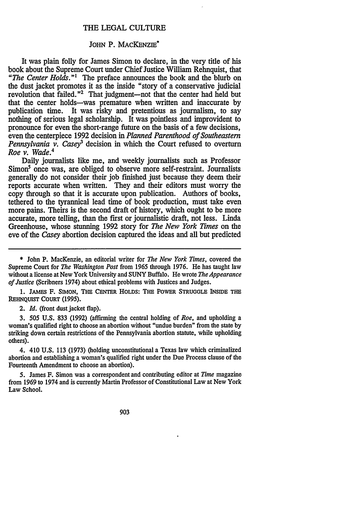#### **THE LEGAL CULTURE**

### JOHN P. MACKENZIE<sup>\*</sup>

It was plain folly for James Simon to declare, in the very title of his book about the Supreme Court under Chief Justice William Rehnquist, that *"The Center Holds."'* The preface announces the book and the blurb on the dust jacket promotes it as the inside "story of a conservative judicial revolution that failed."<sup>2</sup> That judgment-not that the center had held but that the center holds-was premature when written and inaccurate by publication time. It was risky and pretentious as journalism, to say nothing of serious legal scholarship. It was pointless and improvident to pronounce for even the short-range future on the basis of a few decisions, even the centerpiece 1992 decision in *Planned Parenthood of Southeastern Pennsylvania v. Casey'* decision in which the Court refused to overturn *Roe v. Wade.<sup>4</sup>*

Daily journalists like me, and weekly journalists such as Professor Simon<sup>5</sup> once was, are obliged to observe more self-restraint. Journalists generally do not consider their job finished just because they deem their reports accurate when written. They and their editors must worry the copy through so that it is accurate upon publication. Authors of books, tethered to the tyrannical lead time of book production, must take even more pains. Theirs is the second draft of history, which ought to be more accurate, more telling, than the first or journalistic draft, not less. Linda Greenhouse, whose stunning 1992 story for *The New York Times* on the eve of the *Casey* abortion decision captured the ideas and all but predicted

\* John P. MacKenzie, an editorial writer for *The New York Times,* covered the Supreme Court for *The Washington Post* from 1965 through 1976. He has taught law without a license at New York University and SUNY Buffalo. He wrote *The Appearance of Justice* (Scribners 1974) about ethical problems with Justices and Judges.

**1. JAMES F.** SIMON, THE CENTER HOLDS: THE POWER **STRUGGLE INSIDE THE** REHNQUIST COURT (1995).

2. *Id.* (front dust jacket flap).

3. 505 U.S. 833 (1992) (affirming the central holding of *Roe,* and upholding a woman's qualified right to choose an abortion without "undue burden" from the state by striking down certain restrictions of the Pennsylvania abortion statute, while upholding others).

4. 410 U.S. 113 (1973) (holding unconstitutional a Texas taw which criminalized abortion and establishing a woman's qualified right under the Due Process clause of the Fourteenth Amendment to choose an abortion).

5. James F. Simon was a correspondent and contributing editor at *Time* magazine from 1969 to 1974 and is currently Martin Professor of Constitutional Law at New York Law School.

903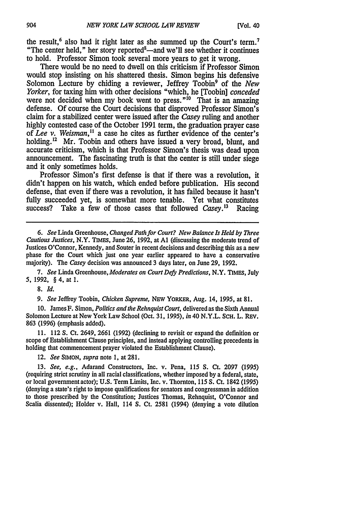the result,<sup>6</sup> also had it right later as she summed up the Court's term.<sup>7</sup> "The center held," her story reported $-$ and we'll see whether it continues to hold. Professor Simon took several more years to get it wrong.

There would be no need to dwell on this criticism if Professor Simon would stop insisting on his shattered thesis. Simon begins his defensive Solomon Lecture by chiding a reviewer, Jeffrey Toobin9 of the *New Yorker,* for taxing him with other decisions "which, he [Toobin] *conceded* were not decided when my book went to press."<sup>10</sup> That is an amazing defense. Of course the Court decisions that disproved Professor Simon's claim for a stabilized center were issued after the *Casey* ruling and another highly contested case of the October 1991 term, the graduation prayer case of *Lee v. Weisman,"* a case he cites as further evidence of the center's holding.<sup>12</sup> Mr. Toobin and others have issued a very broad, blunt, and accurate criticism, which is that Professor Simon's thesis was dead upon announcement. The fascinating truth is that the center is still under siege and it only sometimes holds.

Professor Simon's first defense is that if there was a revolution, it didn't happen on his watch, which ended before publication. His second defense, that even if there was a revolution, it has failed because it hasn't fully succeeded yet, is somewhat more tenable. Yet what constitutes success? Take a few of those cases that followed *Casey*.<sup>13</sup> Racing

6. *See* Linda Greenhouse, *Changed Path for Court? New Balance Is Held by Three Cautious Justices,* N.Y. TImEs, June 26, 1992, at **Al** (discussing the moderate trend of Justices O'Connor, Kennedy, and Souter in recent decisions and describing this as a new phase for the Court which just one year earlier appeared to have a conservative majority). The *Casey* decision was announced 3 days later, on June 29, 1992.

*7. See* Linda Greenhouse, *Moderates on Court Defy Predictions,* N.Y. TIMES, July 5, 1992, § 4, at 1.

8. *Id.*

*9. See* Jeffrey Toobin, *Chicken Supreme,* NEW YORKER, Aug. 14, 1995, at 81.

10. James F. Simon, *Politics and the Rehnquist Court,* delivered as the Sixth Annual Solomon Lecture at New York Law School (Oct. 31, 1995), *in* 40 N.Y.L. SCH. L. REv. 863 (1996) (emphasis added).

11. 112 **S.** Ct. 2649, 2661 (1992) (declining to revisit or expand the definition or scope of Establishment Clause principles, and instead applying controlling precedents in holding that commencement prayer violated the Establishment Clause).

12. *See* SIMON, *supra* note 1, at 281.

13. *See, e.g.,* Adarand Constructors, Inc. v. Pena, 115 *S.* Ct. 2097 (1995) (requiring strict scrutiny in all racial classifications, whether imposed by a federal, state, or local government actor); U.S. Term Limits, Inc. v. Thornton, 115 *S.* Ct. 1842 (1995) (denying a state's right to impose qualifications for senators and congressman in addition to those prescribed by the Constitution; Justices Thomas, Rehnquist, O'Connor and Scalia dissented); Holder v. Hall, 114 **S.** Ct. 2581 (1994) (denying a vote dilution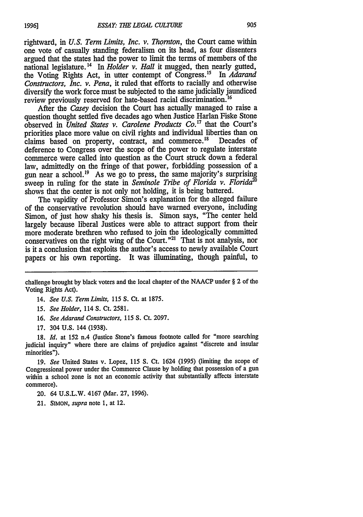rightward, in *U.S. Term Limits, Inc. v. Thornton,* the Court came within one vote of casually standing federalism on its head, as four dissenters argued that the states had the power to limit the terms of members of the national legislature.<sup>14</sup> In *Holder v. Hall* it mugged, then nearly gutted, the Voting Rights Act, in utter contempt of Congress.<sup>15</sup> In *Adarand Constructors, Inc. v. Pena,* it ruled that efforts to racially and otherwise diversify the work force must be subjected to the same judicially jaundiced review previously reserved for hate-based racial discrimination.<sup>16</sup>

After the *Casey* decision the Court has actually managed to raise a question thought settled five decades ago when Justice Harlan Fiske Stone observed in *United States v. Carolene Products Co. <sup>7</sup>*that the Court's priorities place more value on civil rights and individual liberties than on claims based on property, contract, and commerce.<sup>18</sup> Decades of claims based on property, contract, and commerce.<sup>18</sup> deference to Congress over the scope of the power to regulate interstate commerce were called into question as the Court struck down a federal law, admittedly on the fringe of that power, forbidding possession of a gun near a school.<sup>19</sup> As we go to press, the same majority's surprising sweep in ruling for the state in *Seminole Tribe of Florida v. Florida?* shows that the center is not only not holding, it is being battered.

The vapidity of Professor Simon's explanation for the alleged failure of the conservative revolution should have warned everyone, including Simon, of just how shaky his thesis is. Simon says, "The center held largely because liberal Justices were able to attract support from their more moderate brethren who refused to join the ideologically committed conservatives on the right wing of the Court."<sup>21</sup> That is not analysis, nor is it a conclusion that exploits the author's access to newly available Court papers or his own reporting. It was illuminating, though painful, to

- 14. *See U.S. Term Limits,* 115 *S.* Ct. at 1875.
- 15. *See Holder,* 114 S. Ct. 2581.
- 16. *See Adarand Constructors,* 115 *S.* Ct. 2097.
- 17. 304 U.S. 144 (1938).

18. *Id.* at 152 n.4 (Justice Stone's famous footnote called for "more searching judicial inquiry" where there are claims of prejudice against "discrete and insular minorities").

19. *See* United States v. Lopez, 115 *S.* Ct. 1624 (1995) (limiting the scope of Congressional power under the Commerce Clause by holding that possession of a gun within a school zone is not an economic activity that substantially affects interstate commerce).

- 20. 64 U.S.L.W. 4167 (Mar. 27, 1996).
- 21. **SIMON,** *supra* note 1, at 12.

challenge brought by black voters and the local chapter of the NAACP under § 2 of the Voting Rights Act).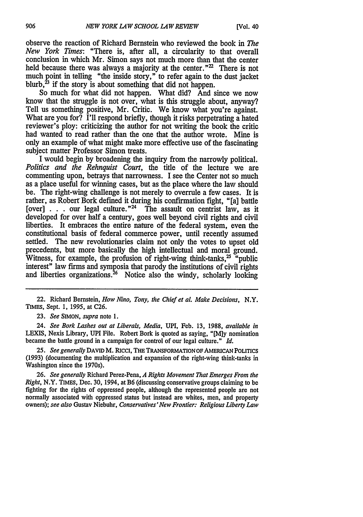observe the reaction of Richard Bernstein who reviewed the book in *The New York Times:* "There is, after all, a circularity to that overall conclusion in which Mr. Simon says not much more than that the center held because there was always a majority at the center."<sup>22</sup> There is not much point in telling "the inside story," to refer again to the dust jacket blurb, $^{23}$  if the story is about something that did not happen.

So much for what did not happen. What did? And since we now know that the struggle is not over, what is this struggle about, anyway? Tell us something positive, Mr. Critic. We know what you're against. What are you for? I'll respond briefly, though it risks perpetrating a hated reviewer's ploy: criticizing the author for not writing the book the critic had wanted to read rather than the one that the author wrote. Mine is only an example of what might make more effective use of the fascinating subject matter Professor Simon treats.

I would begin by broadening the inquiry from the narrowly political. *Politics and the Rehnquist Court,* the title of the lecture we are commenting upon, betrays that narrowness. I see the Center not so much as a place useful for winning cases, but as the place where the law should be. The right-wing challenge is not merely to overrule a few cases. It is rather, as Robert Bork defined it during his confirmation fight, "[a] battle [over]  $\ldots$  our legal culture.<sup>"24</sup> The assault on centrist law, as it developed for over half a century, goes well beyond civil rights and civil liberties. It embraces the entire nature of the federal system, even the constitutional basis of federal commerce power, until recently assumed settled. The new revolutionaries claim not only the votes to upset old precedents, but more basically the high intellectual and moral ground. Witness, for example, the profusion of right-wing think-tanks,  $25$  "public interest" law firms and symposia that parody the institutions of civil rights and liberties organizations.<sup>26</sup> Notice also the windy, scholarly looking

22. Richard Bernstein, *How Nino, Tony, the Chief et al. Make Decisions,* N.Y. TIMES, Sept. 1, 1995, at C26.

23. *See* SIMON, *supra* note 1.

24. *See Bork Lashes out at Liberals, Media,* UPI, Feb. 13, 1988, *available in* LEXIS, Nexis Library, UPI File. Robert Bork is quoted as saying, "[M]y nomination became the battle ground in a campaign for control of our legal culture." *Id.*

*25. See generally* **DAVID** M. **RICCI, THE TRANSFORMATION OF** AMERICAN **POLITICS** (1993) (documenting the multiplication and expansion of the right-wing think-tanks in Washington since the 1970s).

26. *See generally* Richard Perez-Pena, *A Rights Movement That Emerges From the Right,* N.Y. TIMES, Dec. 30, 1994, at B6 (discussing conservative groups claiming to be fighting for the rights of oppressed people, although the represented people are not normally associated with oppressed status but instead are whites, men, and property owners); *see also* Gustav Niebuhr, *Conservatives'New Frontier: Religious Liberty Law*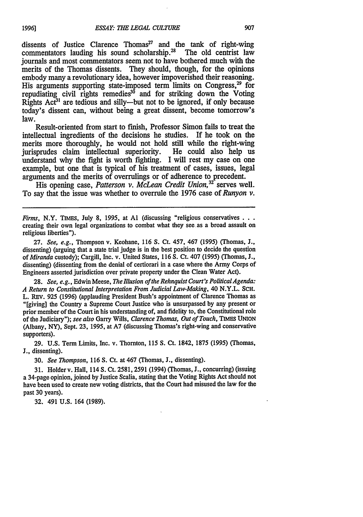dissents of Justice Clarence Thomas<sup>27</sup> and the tank of right-wing commentators lauding his sound scholarship.<sup>28</sup> The old centrist law commentators lauding his sound scholarship.<sup>28</sup> journals and most commentators seem not to have bothered much with the merits of the Thomas dissents. They should, though, for the opinions embody many a revolutionary idea, however impoverished their reasoning. His arguments supporting state-imposed term limits on Congress,<sup>29</sup> for repudiating civil rights remedies<sup>30</sup> and for striking down the Voting Rights  $Act<sup>31</sup>$  are tedious and silly-but not to be ignored, if only because today's dissent can, without being a great dissent, become tomorrow's law.

Result-oriented from start to finish, Professor Simon fails to treat the intellectual ingredients of the decisions he studies. If he took on the merits more thoroughly, he would not hold still while the right-wing<br>iurisprudes claim intellectual superiority. He could also help us jurisprudes claim intellectual superiority. understand why the fight is worth fighting. I will rest my case on one example, but one that is typical of his treatment of cases, issues, legal arguments and the merits of overrulings or of adherence to precedent.

His opening case, *Patterson v. McLean Credit Union*,<sup>32</sup> serves well. To say that the issue was whether to overrule the 1976 case of *Runyon v.*

*Firms,* N.Y. TIMES, July 8, 1995, at **Al** (discussing "religious conservatives **. . .** creating their own legal organizations to combat what they see-as a broad assault on religious liberties").

27. See, e.g., Thompson v. Keohane, 116 S. Ct. 457, 467 (1995) (Thomas, J., dissenting) (arguing that a state trial judge is in the best position to decide the question *of Miranda* custody); Cargill, Inc. v. United States, 116 S. Ct. 407 (1995) (Thomas, J., dissenting) (dissenting from the denial of certiorari in a case where the Army Corps of Engineers asserted jurisdiction over private property under the Clean Water Act).

28. *See, e.g.,* Edwin Meese, *The Illusion of the Rehnquist Court's PoliticalAgenda: A Return to Constitutional Interpretation From Judicial Law-Making,* 40 N.Y.L. SCH. L. REv. 925 (1996) (applauding President Bush's appointment of Clarence Thomas as "[giving] the Country a Supreme Court Justice who is unsurpassed by any present or prior member of the Court in his understanding of, and fidelity to, the Constitutional role of the Judiciary"); *see also* Garry Wills, *Clarence Thomas, Out of Touch, TIMES* **UNION** (Albany, NY), Sept. 23, 1995, at A7 (discussing Thomas's right-wing and conservative supporters).

29. U.S. Term Limits, Inc. v. Thornton, 115 *S.* Ct. 1842, 1875 (1995) (Thomas, J., dissenting).

30. *See Thompson,* 116 **S.** Ct. at 467 (Thomas, J., dissenting).

31. Holder v. Hall, 114 S. Ct. 2581, 2591 (1994) (Thomas, **J.,** concurring) (issuing a 34-page opinion, joined by Justice Scalia, stating that the Voting Rights Act should not have been used to create new voting districts, that the Court had misused the law for the past 30 years).

32. 491 U.S. 164 (1989).

*19961*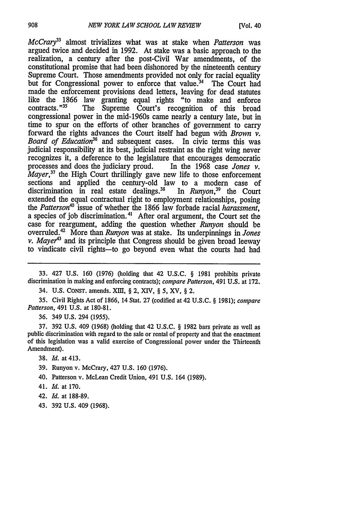*McCrary'3* almost trivializes what was at stake when *Patterson* was argued twice and decided in 1992. At stake was a basic approach to the realization, a century after the post-Civil War amendments, of the constitutional promise that had been dishonored by the nineteenth century Supreme Court. Those amendments provided not only for racial equality but for Congressional power to enforce that value.<sup>34</sup> The Court had made the enforcement provisions dead letters, leaving for dead statutes like the 1866 law granting equal rights "to make and enforce contracts."<sup>35</sup> The Supreme Court's recognition of this broad The Supreme Court's recognition of this broad congressional power in the mid-1960s came nearly a century late, but in time to spur on the efforts of other branches of government to carry forward the rights advances the Court itself had begun with *Brown v. Board of Education*<sup>36</sup> and subsequent cases. In civic terms this was judicial responsibility at its best, judicial restraint as the right wing never recognizes it, a deference to the legislature that encourages democratic processes and does the judiciary proud. In the 1968 case *Jones v. Mayer*,<sup>37</sup> the High Court thrillingly gave new life to those enforcement sections and applied the century-old law to a modern case of discrimination in real estate dealings.<sup>38</sup> In Runvon.<sup>39</sup> the Court discrimination in real estate dealings.<sup>38</sup> extended the equal contractual right to employment relationships, posing *the Patterson4* issue of whether the 1866 law forbade racial *harassment,* a species of job discrimination.<sup>41</sup> After oral argument, the Court set the case for reargument, adding the question whether *Runyon* should be overruled.4 ' More than *Runyon* was at stake. Its underpinnings in *Jones v. Mayer*<sup>43</sup> and its principle that Congress should be given broad leeway to vindicate civil rights-to go beyond even what the courts had had

33. 427 U.S. 160 (1976) (holding that 42 U.S.C. § 1981 prohibits private discrimination in making and enforcing contracts); *compare Patterson,* 491 U.S. at 172.

34. **U.S.** CONST. amends. **XIII,** § 2, XIV, § **5,** XV, § 2.

35. Civil Rights Act of 1866, 14 Stat. 27 (codified at 42 U.S.C. § 1981); *compare Patterson,* 491 U.S. at 180-81.

36. 349 U.S. 294 (1955).

37. 392 U.S. 409 (1968) (holding that 42 U.S.C. § 1982 bars private as well as public discrimination with regard to the sale or rental of property and that the enactment of this legislation was a valid exercise of Congressional power under the Thirteenth Amendment).

38. *Id.* at 413.

- 39. Runyon v. McCrary, 427 U.S. 160 (1976).
- 40. Patterson v. McLean Credit Union, 491 U.S. 164 (1989).
- 41. *Id.* at **170.**
- 42. *Id.* at **188-89.**
- 43. 392 U.S. 409 (1968).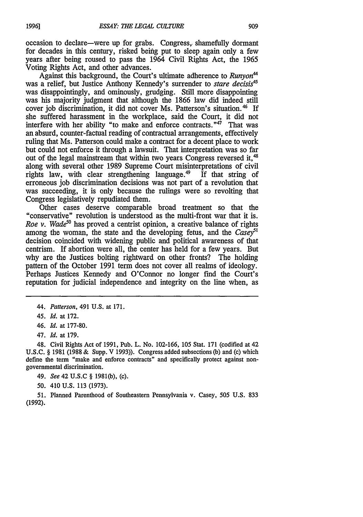occasion to declare-were up for grabs. Congress,. shamefully dormant for decades in this century, risked being put to sleep again only a few years after being roused to pass the 1964 Civil Rights Act, the 1965 Voting Rights Act, and other advances.

Against this background, the Court's ultimate adherence to *Runyon*<sup>44</sup> was a relief, but Justice Anthony Kennedy's surrender to *stare decisis<sup>45</sup>* was disappointingly, and ominously, grudging. Still more disappointing was his majority judgment that although the 1866 law did indeed still cover job discrimination, it did not cover Ms. Patterson's situation.<sup>46</sup> If she suffered harassment in the workplace, said the Court, it did not interfere with her ability "to make and enforce contracts."<sup>47</sup> That was an absurd, counter-factual reading of contractual arrangements, effectively ruling that Ms. Patterson could make a contract for a decent place to work but could not enforce it through a lawsuit. That interpretation was so far out of the legal mainstream that within two years Congress reversed it,<sup>48</sup> along with several other 1989 Supreme Court misinterpretations of civil<br>rights law, with clear strengthening language.<sup>49</sup> If that string of rights law, with clear strengthening language.<sup>49</sup> erroneous job discrimination decisions was not part of a revolution that was succeeding, it is only because the rulings were so revolting that Congress legislatively repudiated them.

"conservative" revolution is understood as the multi-front war that it is. *Roe v. Wade*<sup>50</sup> has proved a centrist opinion, a creative balance of rights among the woman, the state and the developing fetus, and the *Casey*<sup>51</sup> decision coincided with widening public and political awareness of that centrism. If abortion were all, the center has held for a few years. But why are the Justices bolting rightward on other fronts? The holding pattern of the October 1991 term does not cover all realms of ideology. Perhaps Justices Kennedy and O'Connor no longer find the Court's reputation for judicial independence and integrity on the line when, as

49. *See* 42 U.S.C § 1981(b), (c).

50. 410 U.S. 113 (1973).

51. Planned Parenthood of Southeastern Pennsylvania v. Casey, 505 U.S. 833 (1992).

<sup>44.</sup> *Patterson,* 491 U.S. at 171.

<sup>45.</sup> *Id.* at 172.

*<sup>46.</sup> Id.* at 177-80.

<sup>47.</sup> *Id.* at 179.

<sup>48.</sup> Civil Rights Act of 1991, Pub. L. No. 102-166, 105 Stat. 171 (codified at 42 U.S.C. § 1981 (1988 & Supp. V 1993)). Congress added subsections **(b)** and (c) which define the term "make and enforce contracts" and specifically protect against nongovernmental discrimination.